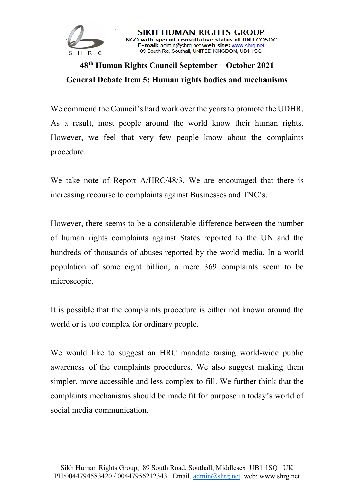

## **48th Human Rights Council September – October 2021 General Debate Item 5: Human rights bodies and mechanisms**

SIKH HUMAN RIGHTS GROUP NGO with special consultative status at UN ECOSOC E-mail: admin@shrg.net web site: www.shrg.net<br>89 South Rd, Southall, UNITED KINGDOM, UB1 1SQ

We commend the Council's hard work over the years to promote the UDHR. As a result, most people around the world know their human rights. However, we feel that very few people know about the complaints procedure.

We take note of Report A/HRC/48/3. We are encouraged that there is increasing recourse to complaints against Businesses and TNC's.

However, there seems to be a considerable difference between the number of human rights complaints against States reported to the UN and the hundreds of thousands of abuses reported by the world media. In a world population of some eight billion, a mere 369 complaints seem to be microscopic.

It is possible that the complaints procedure is either not known around the world or is too complex for ordinary people.

We would like to suggest an HRC mandate raising world-wide public awareness of the complaints procedures. We also suggest making them simpler, more accessible and less complex to fill. We further think that the complaints mechanisms should be made fit for purpose in today's world of social media communication.